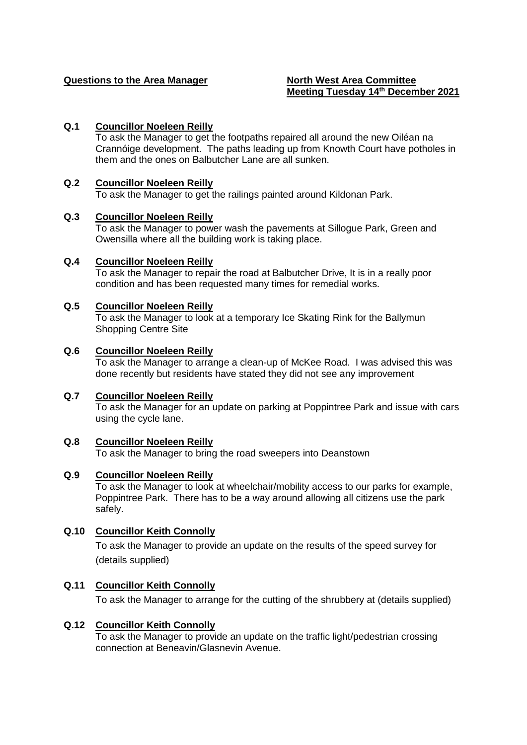# **Questions to the Area Manager North West Area Committee**

# **Meeting Tuesday 14th December 2021**

# **Q.1 Councillor Noeleen Reilly**

To ask the Manager to get the footpaths repaired all around the new Oiléan na Crannóige development. The paths leading up from Knowth Court have potholes in them and the ones on Balbutcher Lane are all sunken.

#### **Q.2 Councillor Noeleen Reilly**

To ask the Manager to get the railings painted around Kildonan Park.

#### **Q.3 Councillor Noeleen Reilly**

To ask the Manager to power wash the pavements at Sillogue Park, Green and Owensilla where all the building work is taking place.

#### **Q.4 Councillor Noeleen Reilly**

To ask the Manager to repair the road at Balbutcher Drive, It is in a really poor condition and has been requested many times for remedial works.

#### **Q.5 Councillor Noeleen Reilly**

To ask the Manager to look at a temporary Ice Skating Rink for the Ballymun Shopping Centre Site

#### **Q.6 Councillor Noeleen Reilly**

To ask the Manager to arrange a clean-up of McKee Road. I was advised this was done recently but residents have stated they did not see any improvement

#### **Q.7 Councillor Noeleen Reilly**

To ask the Manager for an update on parking at Poppintree Park and issue with cars using the cycle lane.

#### **Q.8 Councillor Noeleen Reilly**

To ask the Manager to bring the road sweepers into Deanstown

#### **Q.9 Councillor Noeleen Reilly**

To ask the Manager to look at wheelchair/mobility access to our parks for example, Poppintree Park. There has to be a way around allowing all citizens use the park safely.

#### **Q.10 Councillor Keith Connolly**

To ask the Manager to provide an update on the results of the speed survey for (details supplied)

# **Q.11 Councillor Keith Connolly**

To ask the Manager to arrange for the cutting of the shrubbery at (details supplied)

#### **Q.12 Councillor Keith Connolly**

To ask the Manager to provide an update on the traffic light/pedestrian crossing connection at Beneavin/Glasnevin Avenue.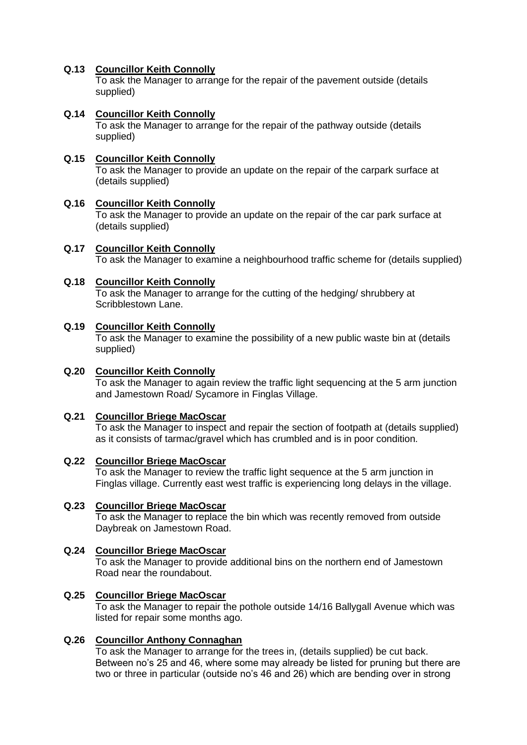# **Q.13 Councillor Keith Connolly**

To ask the Manager to arrange for the repair of the pavement outside (details supplied)

# **Q.14 Councillor Keith Connolly**

To ask the Manager to arrange for the repair of the pathway outside (details supplied)

# **Q.15 Councillor Keith Connolly**

To ask the Manager to provide an update on the repair of the carpark surface at (details supplied)

#### **Q.16 Councillor Keith Connolly**

To ask the Manager to provide an update on the repair of the car park surface at (details supplied)

#### **Q.17 Councillor Keith Connolly**

To ask the Manager to examine a neighbourhood traffic scheme for (details supplied)

#### **Q.18 Councillor Keith Connolly**

To ask the Manager to arrange for the cutting of the hedging/ shrubbery at Scribblestown Lane.

#### **Q.19 Councillor Keith Connolly**

To ask the Manager to examine the possibility of a new public waste bin at (details supplied)

#### **Q.20 Councillor Keith Connolly**

To ask the Manager to again review the traffic light sequencing at the 5 arm junction and Jamestown Road/ Sycamore in Finglas Village.

#### **Q.21 Councillor Briege MacOscar**

To ask the Manager to inspect and repair the section of footpath at (details supplied) as it consists of tarmac/gravel which has crumbled and is in poor condition.

#### **Q.22 Councillor Briege MacOscar**

To ask the Manager to review the traffic light sequence at the 5 arm junction in Finglas village. Currently east west traffic is experiencing long delays in the village.

#### **Q.23 Councillor Briege MacOscar**

To ask the Manager to replace the bin which was recently removed from outside Daybreak on Jamestown Road.

#### **Q.24 Councillor Briege MacOscar**

To ask the Manager to provide additional bins on the northern end of Jamestown Road near the roundabout.

#### **Q.25 Councillor Briege MacOscar**

To ask the Manager to repair the pothole outside 14/16 Ballygall Avenue which was listed for repair some months ago.

#### **Q.26 Councillor Anthony Connaghan**

To ask the Manager to arrange for the trees in, (details supplied) be cut back. Between no's 25 and 46, where some may already be listed for pruning but there are two or three in particular (outside no's 46 and 26) which are bending over in strong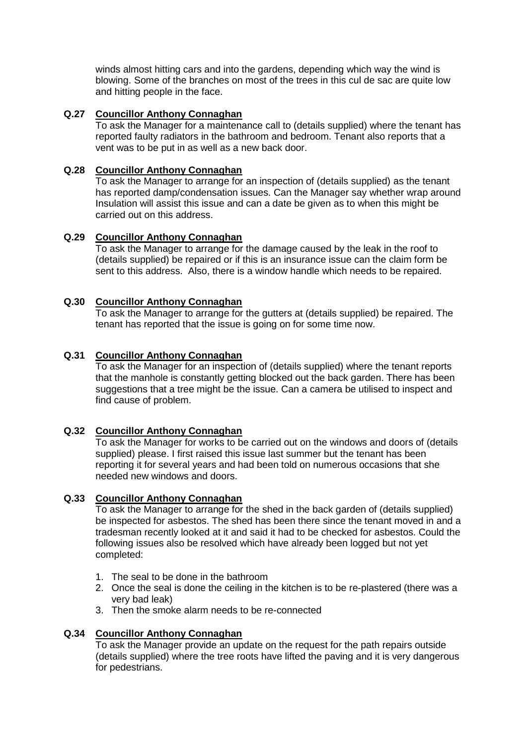winds almost hitting cars and into the gardens, depending which way the wind is blowing. Some of the branches on most of the trees in this cul de sac are quite low and hitting people in the face.

# **Q.27 Councillor Anthony Connaghan**

To ask the Manager for a maintenance call to (details supplied) where the tenant has reported faulty radiators in the bathroom and bedroom. Tenant also reports that a vent was to be put in as well as a new back door.

# **Q.28 Councillor Anthony Connaghan**

To ask the Manager to arrange for an inspection of (details supplied) as the tenant has reported damp/condensation issues. Can the Manager say whether wrap around Insulation will assist this issue and can a date be given as to when this might be carried out on this address.

# **Q.29 Councillor Anthony Connaghan**

To ask the Manager to arrange for the damage caused by the leak in the roof to (details supplied) be repaired or if this is an insurance issue can the claim form be sent to this address. Also, there is a window handle which needs to be repaired.

# **Q.30 Councillor Anthony Connaghan**

To ask the Manager to arrange for the gutters at (details supplied) be repaired. The tenant has reported that the issue is going on for some time now.

#### **Q.31 Councillor Anthony Connaghan**

To ask the Manager for an inspection of (details supplied) where the tenant reports that the manhole is constantly getting blocked out the back garden. There has been suggestions that a tree might be the issue. Can a camera be utilised to inspect and find cause of problem.

# **Q.32 Councillor Anthony Connaghan**

To ask the Manager for works to be carried out on the windows and doors of (details supplied) please. I first raised this issue last summer but the tenant has been reporting it for several years and had been told on numerous occasions that she needed new windows and doors.

#### **Q.33 Councillor Anthony Connaghan**

To ask the Manager to arrange for the shed in the back garden of (details supplied) be inspected for asbestos. The shed has been there since the tenant moved in and a tradesman recently looked at it and said it had to be checked for asbestos. Could the following issues also be resolved which have already been logged but not yet completed:

- 1. The seal to be done in the bathroom
- 2. Once the seal is done the ceiling in the kitchen is to be re-plastered (there was a very bad leak)
- 3. Then the smoke alarm needs to be re-connected

#### **Q.34 Councillor Anthony Connaghan**

To ask the Manager provide an update on the request for the path repairs outside (details supplied) where the tree roots have lifted the paving and it is very dangerous for pedestrians.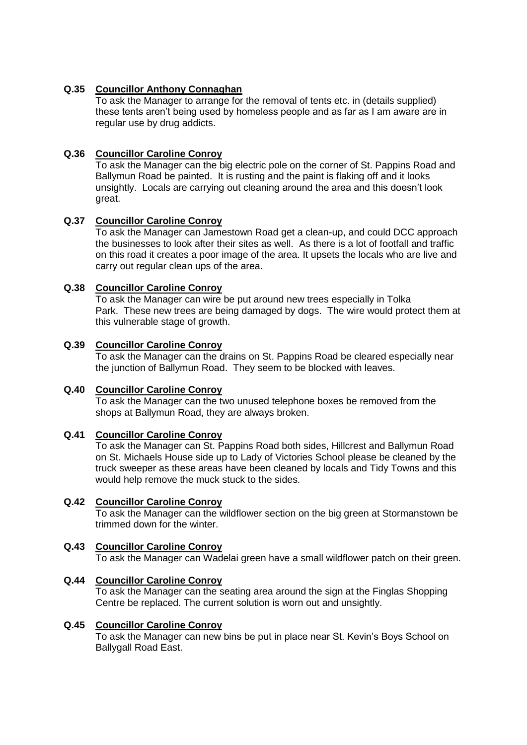# **Q.35 Councillor Anthony Connaghan**

To ask the Manager to arrange for the removal of tents etc. in (details supplied) these tents aren't being used by homeless people and as far as I am aware are in regular use by drug addicts.

# **Q.36 Councillor Caroline Conroy**

To ask the Manager can the big electric pole on the corner of St. Pappins Road and Ballymun Road be painted. It is rusting and the paint is flaking off and it looks unsightly. Locals are carrying out cleaning around the area and this doesn't look great.

# **Q.37 Councillor Caroline Conroy**

To ask the Manager can Jamestown Road get a clean-up, and could DCC approach the businesses to look after their sites as well. As there is a lot of footfall and traffic on this road it creates a poor image of the area. It upsets the locals who are live and carry out regular clean ups of the area.

# **Q.38 Councillor Caroline Conroy**

To ask the Manager can wire be put around new trees especially in Tolka Park. These new trees are being damaged by dogs. The wire would protect them at this vulnerable stage of growth.

# **Q.39 Councillor Caroline Conroy**

To ask the Manager can the drains on St. Pappins Road be cleared especially near the junction of Ballymun Road. They seem to be blocked with leaves.

#### **Q.40 Councillor Caroline Conroy**

To ask the Manager can the two unused telephone boxes be removed from the shops at Ballymun Road, they are always broken.

#### **Q.41 Councillor Caroline Conroy**

To ask the Manager can St. Pappins Road both sides, Hillcrest and Ballymun Road on St. Michaels House side up to Lady of Victories School please be cleaned by the truck sweeper as these areas have been cleaned by locals and Tidy Towns and this would help remove the muck stuck to the sides.

#### **Q.42 Councillor Caroline Conroy**

To ask the Manager can the wildflower section on the big green at Stormanstown be trimmed down for the winter.

# **Q.43 Councillor Caroline Conroy**

To ask the Manager can Wadelai green have a small wildflower patch on their green.

#### **Q.44 Councillor Caroline Conroy**

To ask the Manager can the seating area around the sign at the Finglas Shopping Centre be replaced. The current solution is worn out and unsightly.

#### **Q.45 Councillor Caroline Conroy**

To ask the Manager can new bins be put in place near St. Kevin's Boys School on Ballygall Road East.